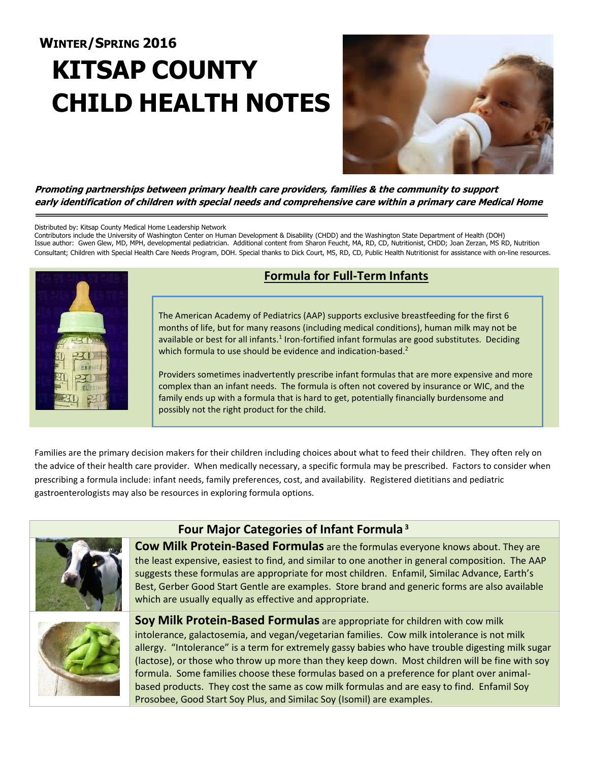# **WINTER/SPRING 2016 KITSAP COUNTY CHILD HEALTH NOTES**



**Promoting partnerships between primary health care providers, families & the community to support early identification of children with special needs and comprehensive care within a primary care Medical Home**

#### Distributed by: Kitsap County Medical Home Leadership Network

Contributors include the University of Washington Center on Human Development & Disability (CHDD) and the Washington State Department of Health (DOH) Issue author: Gwen Glew, MD, MPH, developmental pediatrician. Additional content from Sharon Feucht, MA, RD, CD, Nutritionist, CHDD; Joan Zerzan, MS RD, Nutrition Consultant; Children with Special Health Care Needs Program, DOH. Special thanks to Dick Court, MS, RD, CD, Public Health Nutritionist for assistance with on-line resources.



## **Formula for Full-Term Infants**

The American Academy of Pediatrics (AAP) supports exclusive breastfeeding for the first 6 months of life, but for many reasons (including medical conditions), human milk may not be available or best for all infants.<sup>1</sup> Iron-fortified infant formulas are good substitutes. Deciding which formula to use should be evidence and indication-based.<sup>2</sup>

Providers sometimes inadvertently prescribe infant formulas that are more expensive and more complex than an infant needs. The formula is often not covered by insurance or WIC, and the family ends up with a formula that is hard to get, potentially financially burdensome and possibly not the right product for the child.

Families are the primary decision makers for their children including choices about what to feed their children. They often rely on the advice of their health care provider. When medically necessary, a specific formula may be prescribed. Factors to consider when prescribing a formula include: infant needs, family preferences, cost, and availability. Registered dietitians and pediatric gastroenterologists may also be resources in exploring formula options.



## **Four Major Categories of Infant Formula <sup>3</sup>**

**Cow Milk Protein-Based Formulas** are the formulas everyone knows about. They are the least expensive, easiest to find, and similar to one another in general composition. The AAP suggests these formulas are appropriate for most children. Enfamil, Similac Advance, Earth's Best, Gerber Good Start Gentle are examples. Store brand and generic forms are also available which are usually equally as effective and appropriate.



**Soy Milk Protein-Based Formulas** are appropriate for children with cow milk intolerance, galactosemia, and vegan/vegetarian families. Cow milk intolerance is not milk allergy. "Intolerance" is a term for extremely gassy babies who have trouble digesting milk sugar (lactose), or those who throw up more than they keep down. Most children will be fine with soy formula. Some families choose these formulas based on a preference for plant over animalbased products. They cost the same as cow milk formulas and are easy to find. Enfamil Soy Prosobee, Good Start Soy Plus, and Similac Soy (Isomil) are examples.